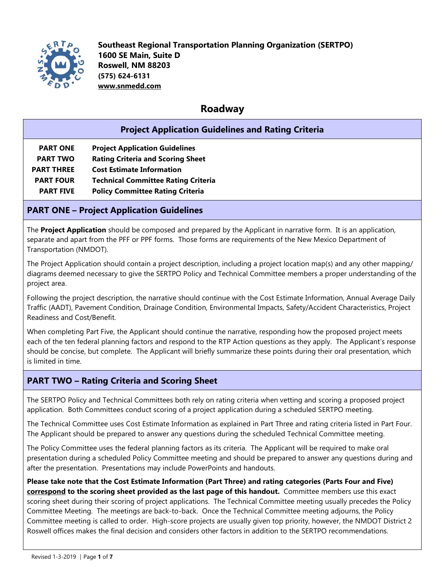

### **Roadway**

|                                                  | <b>Project Application Guidelines and Rating Criteria</b> |  |  |  |
|--------------------------------------------------|-----------------------------------------------------------|--|--|--|
| <b>PART ONE</b>                                  | <b>Project Application Guidelines</b>                     |  |  |  |
| <b>PART TWO</b>                                  | <b>Rating Criteria and Scoring Sheet</b>                  |  |  |  |
| <b>PART THREE</b>                                | <b>Cost Estimate Information</b>                          |  |  |  |
| <b>PART FOUR</b>                                 | <b>Technical Committee Rating Criteria</b>                |  |  |  |
| <b>PART FIVE</b>                                 | <b>Policy Committee Rating Criteria</b>                   |  |  |  |
| <b>PART ONE - Project Application Guidelines</b> |                                                           |  |  |  |

The **Project Application** should be composed and prepared by the Applicant in narrative form. It is an application, separate and apart from the PFF or PPF forms. Those forms are requirements of the New Mexico Department of Transportation (NMDOT).

The Project Application should contain a project description, including a project location map(s) and any other mapping/ diagrams deemed necessary to give the SERTPO Policy and Technical Committee members a proper understanding of the project area.

Following the project description, the narrative should continue with the Cost Estimate Information, Annual Average Daily Traffic (AADT), Pavement Condition, Drainage Condition, Environmental Impacts, Safety/Accident Characteristics, Project Readiness and Cost/Benefit.

When completing Part Five, the Applicant should continue the narrative, responding how the proposed project meets each of the ten federal planning factors and respond to the RTP Action questions as they apply. The Applicant's response should be concise, but complete. The Applicant will briefly summarize these points during their oral presentation, which is limited in time.

### **PART TWO – Rating Criteria and Scoring Sheet**

The SERTPO Policy and Technical Committees both rely on rating criteria when vetting and scoring a proposed project application. Both Committees conduct scoring of a project application during a scheduled SERTPO meeting.

The Technical Committee uses Cost Estimate Information as explained in Part Three and rating criteria listed in Part Four. The Applicant should be prepared to answer any questions during the scheduled Technical Committee meeting.

The Policy Committee uses the federal planning factors as its criteria. The Applicant will be required to make oral presentation during a scheduled Policy Committee meeting and should be prepared to answer any questions during and after the presentation. Presentations may include PowerPoints and handouts.

**Please take note that the Cost Estimate Information (Part Three) and rating categories (Parts Four and Five) correspond to the scoring sheet provided as the last page of this handout.** Committee members use this exact scoring sheet during their scoring of project applications. The Technical Committee meeting usually precedes the Policy Committee Meeting. The meetings are back-to-back. Once the Technical Committee meeting adjourns, the Policy Committee meeting is called to order. High-score projects are usually given top priority, however, the NMDOT District 2 Roswell offices makes the final decision and considers other factors in addition to the SERTPO recommendations.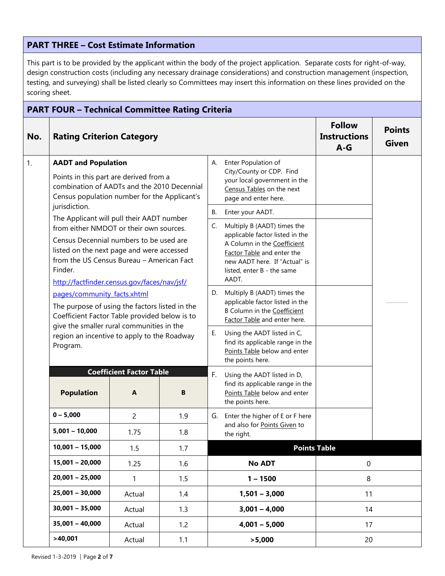#### **PART THREE – Cost Estimate Information**

This part is to be provided by the applicant within the body of the project application. Separate costs for right-of-way, design construction costs (including any necessary drainage considerations) and construction management (inspection, testing, and surveying) shall be listed clearly so Committees may insert this information on these lines provided on the scoring sheet.

| <b>PART FOUR - Technical Committee Rating Criteria</b> |                                                                                                                                                                                             |                                                                                          |     |                                                                                                       |                                                                                                                                                                      |                               |  |
|--------------------------------------------------------|---------------------------------------------------------------------------------------------------------------------------------------------------------------------------------------------|------------------------------------------------------------------------------------------|-----|-------------------------------------------------------------------------------------------------------|----------------------------------------------------------------------------------------------------------------------------------------------------------------------|-------------------------------|--|
| No.                                                    | <b>Rating Criterion Category</b>                                                                                                                                                            |                                                                                          |     |                                                                                                       | <b>Follow</b><br><b>Instructions</b><br>$A-G$                                                                                                                        | <b>Points</b><br><b>Given</b> |  |
| 1.                                                     | <b>AADT and Population</b>                                                                                                                                                                  |                                                                                          |     | Enter Population of<br>А.                                                                             |                                                                                                                                                                      |                               |  |
|                                                        | Points in this part are derived from a<br>combination of AADTs and the 2010 Decennial<br>Census population number for the Applicant's                                                       |                                                                                          |     |                                                                                                       | City/County or CDP. Find<br>your local government in the<br>Census Tables on the next<br>page and enter here.                                                        |                               |  |
|                                                        | jurisdiction.<br>The Applicant will pull their AADT number                                                                                                                                  |                                                                                          |     | В.                                                                                                    | Enter your AADT.                                                                                                                                                     |                               |  |
|                                                        | from either NMDOT or their own sources.                                                                                                                                                     |                                                                                          |     | C.                                                                                                    | Multiply B (AADT) times the                                                                                                                                          |                               |  |
|                                                        | Census Decennial numbers to be used are<br>listed on the next page and were accessed<br>from the US Census Bureau - American Fact<br>Finder.<br>http://factfinder.census.gov/faces/nav/jsf/ |                                                                                          |     |                                                                                                       | applicable factor listed in the<br>A Column in the Coefficient<br>Factor Table and enter the<br>new AADT here. If "Actual" is<br>listed, enter B - the same<br>AADT. |                               |  |
|                                                        | pages/community facts.xhtml                                                                                                                                                                 |                                                                                          |     | D.                                                                                                    | Multiply B (AADT) times the                                                                                                                                          |                               |  |
|                                                        | The purpose of using the factors listed in the<br>Coefficient Factor Table provided below is to                                                                                             |                                                                                          |     | applicable factor listed in the<br><b>B Column in the Coefficient</b><br>Factor Table and enter here. |                                                                                                                                                                      |                               |  |
|                                                        | Program.                                                                                                                                                                                    | give the smaller rural communities in the<br>region an incentive to apply to the Roadway |     | Е.                                                                                                    | Using the AADT listed in C,<br>find its applicable range in the<br>Points Table below and enter<br>the points here.                                                  |                               |  |
|                                                        |                                                                                                                                                                                             | <b>Coefficient Factor Table</b>                                                          |     | F.<br>Using the AADT listed in D,                                                                     |                                                                                                                                                                      |                               |  |
|                                                        | <b>Population</b>                                                                                                                                                                           | A                                                                                        | B   |                                                                                                       | find its applicable range in the<br>Points Table below and enter<br>the points here.                                                                                 |                               |  |
|                                                        | $0 - 5,000$                                                                                                                                                                                 | $\overline{2}$                                                                           | 1.9 |                                                                                                       | G. Enter the higher of E or F here                                                                                                                                   |                               |  |
|                                                        | $5,001 - 10,000$                                                                                                                                                                            | 1.75                                                                                     | 1.8 |                                                                                                       | and also for Points Given to<br>the right.                                                                                                                           |                               |  |
|                                                        | $10,001 - 15,000$                                                                                                                                                                           | 1.5                                                                                      | 1.7 |                                                                                                       | <b>Points Table</b>                                                                                                                                                  |                               |  |
|                                                        | $15,001 - 20,000$                                                                                                                                                                           | 1.25<br>1.6<br>1.5<br>$\mathbf{1}$<br>Actual<br>1.4<br>1.3<br>Actual<br>1.2<br>Actual    |     |                                                                                                       | <b>No ADT</b>                                                                                                                                                        | $\boldsymbol{0}$              |  |
|                                                        | $20,001 - 25,000$                                                                                                                                                                           |                                                                                          |     |                                                                                                       | $1 - 1500$                                                                                                                                                           | 8                             |  |
|                                                        | $25,001 - 30,000$                                                                                                                                                                           |                                                                                          |     |                                                                                                       | $1,501 - 3,000$                                                                                                                                                      | 11                            |  |
|                                                        | $30,001 - 35,000$                                                                                                                                                                           |                                                                                          |     |                                                                                                       | $3,001 - 4,000$                                                                                                                                                      | 14                            |  |
|                                                        | $35,001 - 40,000$                                                                                                                                                                           |                                                                                          |     |                                                                                                       | $4,001 - 5,000$                                                                                                                                                      | 17                            |  |
|                                                        | >40,001<br>Actual<br>1.1                                                                                                                                                                    |                                                                                          |     |                                                                                                       | >5,000                                                                                                                                                               | 20                            |  |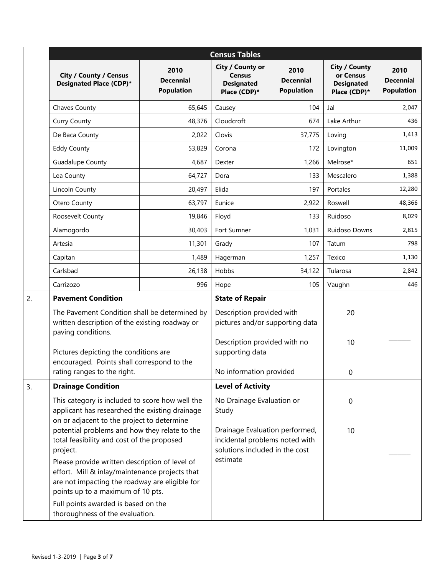|                                                                        | <b>Census Tables</b>                                                                                                                                                                    |                                               |                                                                                                    |                                               |                                                                        |                                               |
|------------------------------------------------------------------------|-----------------------------------------------------------------------------------------------------------------------------------------------------------------------------------------|-----------------------------------------------|----------------------------------------------------------------------------------------------------|-----------------------------------------------|------------------------------------------------------------------------|-----------------------------------------------|
|                                                                        | <b>City / County / Census</b><br>Designated Place (CDP)*                                                                                                                                | 2010<br><b>Decennial</b><br><b>Population</b> | City / County or<br><b>Census</b><br><b>Designated</b><br>Place (CDP)*                             | 2010<br><b>Decennial</b><br><b>Population</b> | <b>City / County</b><br>or Census<br><b>Designated</b><br>Place (CDP)* | 2010<br><b>Decennial</b><br><b>Population</b> |
|                                                                        | Chaves County                                                                                                                                                                           | 65,645                                        | Causey                                                                                             | 104                                           | Jal                                                                    | 2,047                                         |
|                                                                        | <b>Curry County</b>                                                                                                                                                                     | 48,376                                        | Cloudcroft                                                                                         | 674                                           | Lake Arthur                                                            | 436                                           |
|                                                                        | De Baca County                                                                                                                                                                          | 2,022                                         | Clovis                                                                                             | 37,775                                        | Loving                                                                 | 1,413                                         |
|                                                                        | <b>Eddy County</b>                                                                                                                                                                      | 53,829                                        | Corona                                                                                             | 172                                           | Lovington                                                              | 11,009                                        |
|                                                                        | Guadalupe County                                                                                                                                                                        | 4,687                                         | Dexter                                                                                             | 1,266                                         | Melrose*                                                               | 651                                           |
|                                                                        | Lea County                                                                                                                                                                              | 64,727                                        | Dora                                                                                               | 133                                           | Mescalero                                                              | 1,388                                         |
|                                                                        | Lincoln County                                                                                                                                                                          | 20,497                                        | Elida                                                                                              | 197                                           | Portales                                                               | 12,280                                        |
|                                                                        | Otero County                                                                                                                                                                            | 63,797                                        | Eunice                                                                                             | 2,922                                         | Roswell                                                                | 48,366                                        |
|                                                                        | Roosevelt County                                                                                                                                                                        | 19,846                                        | Floyd                                                                                              | 133                                           | Ruidoso                                                                | 8,029                                         |
|                                                                        | Alamogordo                                                                                                                                                                              | 30,403                                        | Fort Sumner                                                                                        | 1,031                                         | Ruidoso Downs                                                          | 2,815                                         |
|                                                                        | Artesia                                                                                                                                                                                 | 11,301                                        | Grady                                                                                              | 107                                           | Tatum                                                                  | 798                                           |
|                                                                        | Capitan                                                                                                                                                                                 | 1,489                                         | Hagerman                                                                                           | 1,257                                         | Texico                                                                 | 1,130                                         |
|                                                                        | Carlsbad                                                                                                                                                                                | 26,138                                        | Hobbs                                                                                              | 34,122                                        | Tularosa                                                               | 2,842                                         |
|                                                                        | Carrizozo                                                                                                                                                                               | 996                                           | Hope                                                                                               | 105                                           | Vaughn                                                                 | 446                                           |
| 2.                                                                     | <b>Pavement Condition</b>                                                                                                                                                               |                                               | <b>State of Repair</b>                                                                             |                                               |                                                                        |                                               |
|                                                                        | The Pavement Condition shall be determined by<br>written description of the existing roadway or<br>paving conditions.                                                                   |                                               | Description provided with<br>pictures and/or supporting data                                       |                                               | 20                                                                     |                                               |
|                                                                        | Pictures depicting the conditions are<br>encouraged. Points shall correspond to the                                                                                                     |                                               | Description provided with no<br>supporting data                                                    |                                               | 10                                                                     |                                               |
|                                                                        | rating ranges to the right.                                                                                                                                                             |                                               | No information provided                                                                            |                                               | 0                                                                      |                                               |
| 3.                                                                     | <b>Drainage Condition</b>                                                                                                                                                               |                                               | <b>Level of Activity</b>                                                                           |                                               |                                                                        |                                               |
|                                                                        | This category is included to score how well the<br>applicant has researched the existing drainage<br>on or adjacent to the project to determine                                         |                                               | No Drainage Evaluation or<br>Study                                                                 |                                               | $\boldsymbol{0}$                                                       |                                               |
|                                                                        | potential problems and how they relate to the<br>total feasibility and cost of the proposed<br>project.                                                                                 |                                               | Drainage Evaluation performed,<br>incidental problems noted with<br>solutions included in the cost |                                               | 10                                                                     |                                               |
|                                                                        | Please provide written description of level of<br>effort. Mill & inlay/maintenance projects that<br>are not impacting the roadway are eligible for<br>points up to a maximum of 10 pts. |                                               | estimate                                                                                           |                                               |                                                                        |                                               |
| Full points awarded is based on the<br>thoroughness of the evaluation. |                                                                                                                                                                                         |                                               |                                                                                                    |                                               |                                                                        |                                               |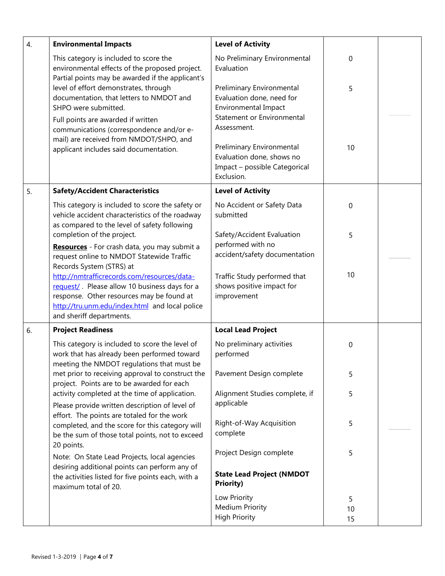| 4. | <b>Environmental Impacts</b>                                                                                                                                                                                            | <b>Level of Activity</b>                                                                              |               |  |
|----|-------------------------------------------------------------------------------------------------------------------------------------------------------------------------------------------------------------------------|-------------------------------------------------------------------------------------------------------|---------------|--|
|    | This category is included to score the<br>environmental effects of the proposed project.<br>Partial points may be awarded if the applicant's                                                                            | No Preliminary Environmental<br>Evaluation                                                            | $\mathbf 0$   |  |
|    | level of effort demonstrates, through<br>documentation, that letters to NMDOT and<br>SHPO were submitted.                                                                                                               | Preliminary Environmental<br>Evaluation done, need for<br><b>Environmental Impact</b>                 | 5             |  |
|    | Full points are awarded if written<br>communications (correspondence and/or e-<br>mail) are received from NMDOT/SHPO, and                                                                                               | Statement or Environmental<br>Assessment.                                                             |               |  |
|    | applicant includes said documentation.                                                                                                                                                                                  | Preliminary Environmental<br>Evaluation done, shows no<br>Impact - possible Categorical<br>Exclusion. | 10            |  |
| 5. | <b>Safety/Accident Characteristics</b>                                                                                                                                                                                  | <b>Level of Activity</b>                                                                              |               |  |
|    | This category is included to score the safety or<br>vehicle accident characteristics of the roadway<br>as compared to the level of safety following                                                                     | No Accident or Safety Data<br>submitted                                                               | $\mathbf 0$   |  |
|    | completion of the project.<br>Resources - For crash data, you may submit a<br>request online to NMDOT Statewide Traffic<br>Records System (STRS) at                                                                     | Safety/Accident Evaluation<br>performed with no<br>accident/safety documentation                      | 5             |  |
|    | http://nmtrafficrecords.com/resources/data-<br>request/. Please allow 10 business days for a<br>response. Other resources may be found at<br>http://tru.unm.edu/index.html and local police<br>and sheriff departments. | Traffic Study performed that<br>shows positive impact for<br>improvement                              | 10            |  |
| 6. | <b>Project Readiness</b>                                                                                                                                                                                                | <b>Local Lead Project</b>                                                                             |               |  |
|    | This category is included to score the level of<br>work that has already been performed toward<br>meeting the NMDOT regulations that must be                                                                            | No preliminary activities<br>performed                                                                | 0             |  |
|    | met prior to receiving approval to construct the<br>project. Points are to be awarded for each                                                                                                                          | Pavement Design complete                                                                              | 5             |  |
|    | activity completed at the time of application.<br>Please provide written description of level of<br>effort. The points are totaled for the work                                                                         | Alignment Studies complete, if<br>applicable                                                          | 5             |  |
|    | completed, and the score for this category will<br>be the sum of those total points, not to exceed                                                                                                                      | Right-of-Way Acquisition<br>complete                                                                  | 5             |  |
|    | 20 points.<br>Note: On State Lead Projects, local agencies                                                                                                                                                              | Project Design complete                                                                               | 5             |  |
|    | desiring additional points can perform any of<br>the activities listed for five points each, with a<br>maximum total of 20.                                                                                             | <b>State Lead Project (NMDOT</b><br><b>Priority)</b>                                                  |               |  |
|    |                                                                                                                                                                                                                         | Low Priority<br><b>Medium Priority</b><br><b>High Priority</b>                                        | 5<br>10<br>15 |  |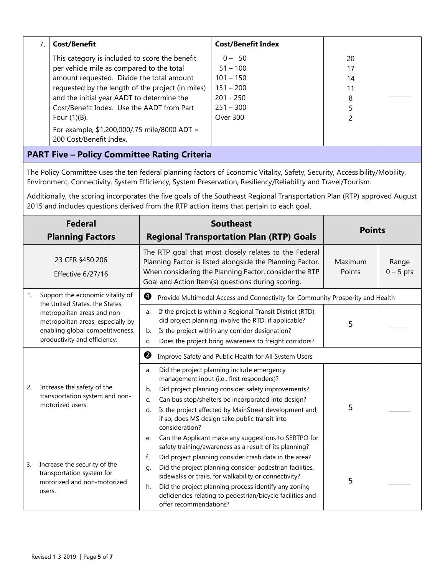|                                                     | <b>Cost/Benefit</b>                               | <b>Cost/Benefit Index</b> |    |  |  |
|-----------------------------------------------------|---------------------------------------------------|---------------------------|----|--|--|
|                                                     | This category is included to score the benefit    | $0 - 50$                  | 20 |  |  |
|                                                     | per vehicle mile as compared to the total         | $51 - 100$                | 17 |  |  |
|                                                     | amount requested. Divide the total amount         | $101 - 150$               | 14 |  |  |
|                                                     | requested by the length of the project (in miles) | $151 - 200$               | 11 |  |  |
|                                                     | and the initial year AADT to determine the        | $201 - 250$               | 8  |  |  |
|                                                     | Cost/Benefit Index. Use the AADT from Part        | $251 - 300$               |    |  |  |
|                                                     | Four $(1)(B)$ .                                   | Over 300                  |    |  |  |
|                                                     | For example, $$1,200,000/.75$ mile/8000 ADT =     |                           |    |  |  |
|                                                     | 200 Cost/Benefit Index.                           |                           |    |  |  |
| <b>PART Five - Policy Committee Rating Criteria</b> |                                                   |                           |    |  |  |

The Policy Committee uses the ten federal planning factors of Economic Vitality, Safety, Security, Accessibility/Mobility, Environment, Connectivity, System Efficiency, System Preservation, Resiliency/Reliability and Travel/Tourism.

Additionally, the scoring incorporates the five goals of the Southeast Regional Transportation Plan (RTP) approved August 2015 and includes questions derived from the RTP action items that pertain to each goal.

| <b>Federal</b><br><b>Planning Factors</b> |                                                                                                                                      | <b>Southeast</b><br><b>Regional Transportation Plan (RTP) Goals</b>                                                                                                                                                                                                                                                                                                                                                      | <b>Points</b>     |                      |
|-------------------------------------------|--------------------------------------------------------------------------------------------------------------------------------------|--------------------------------------------------------------------------------------------------------------------------------------------------------------------------------------------------------------------------------------------------------------------------------------------------------------------------------------------------------------------------------------------------------------------------|-------------------|----------------------|
|                                           | 23 CFR §450.206<br>Effective 6/27/16                                                                                                 | The RTP goal that most closely relates to the Federal<br>Planning Factor is listed alongside the Planning Factor.<br>When considering the Planning Factor, consider the RTP<br>Goal and Action Item(s) questions during scoring.                                                                                                                                                                                         | Maximum<br>Points | Range<br>$0 - 5$ pts |
| 1.                                        | Support the economic vitality of<br>the United States, the States,                                                                   | ❹<br>Provide Multimodal Access and Connectivity for Community Prosperity and Health                                                                                                                                                                                                                                                                                                                                      |                   |                      |
|                                           | metropolitan areas and non-<br>metropolitan areas, especially by<br>enabling global competitiveness,<br>productivity and efficiency. | If the project is within a Regional Transit District (RTD),<br>a.<br>did project planning involve the RTD, if applicable?<br>Is the project within any corridor designation?<br>b.<br>Does the project bring awareness to freight corridors?<br>c.                                                                                                                                                                       | 5                 |                      |
|                                           |                                                                                                                                      | ❷<br>Improve Safety and Public Health for All System Users                                                                                                                                                                                                                                                                                                                                                               |                   |                      |
| 2.                                        | Increase the safety of the<br>transportation system and non-<br>motorized users.                                                     | Did the project planning include emergency<br>a.<br>management input (i.e., first responders)?<br>Did project planning consider safety improvements?<br>b.<br>Can bus stop/shelters be incorporated into design?<br>C.<br>Is the project affected by MainStreet development and,<br>d.<br>if so, does MS design take public transit into<br>consideration?<br>Can the Applicant make any suggestions to SERTPO for<br>e. | 5                 |                      |
| 3.                                        | Increase the security of the<br>transportation system for<br>motorized and non-motorized<br>users.                                   | safety training/awareness as a result of its planning?<br>Did project planning consider crash data in the area?<br>f.<br>Did the project planning consider pedestrian facilities,<br>q.<br>sidewalks or trails, for walkability or connectivity?<br>Did the project planning process identify any zoning<br>h.<br>deficiencies relating to pedestrian/bicycle facilities and<br>offer recommendations?                   | 5                 |                      |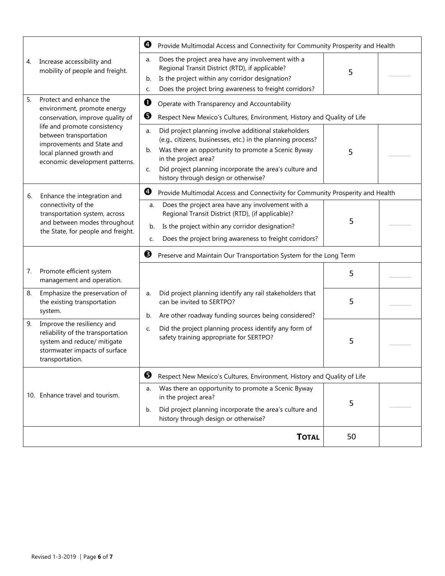|                                                                                                                                                          | ❹<br>Provide Multimodal Access and Connectivity for Community Prosperity and Health                                                                                                                                                                                                                                    |    |  |
|----------------------------------------------------------------------------------------------------------------------------------------------------------|------------------------------------------------------------------------------------------------------------------------------------------------------------------------------------------------------------------------------------------------------------------------------------------------------------------------|----|--|
| Increase accessibility and<br>4.<br>mobility of people and freight.                                                                                      | Does the project area have any involvement with a<br>a.<br>Regional Transit District (RTD), if applicable?<br>Is the project within any corridor designation?<br>b.<br>Does the project bring awareness to freight corridors?<br>c.                                                                                    | 5  |  |
| 5.<br>Protect and enhance the<br>environment, promote energy<br>conservation, improve quality of                                                         | 0<br>Operate with Transparency and Accountability<br>❺<br>Respect New Mexico's Cultures, Environment, History and Quality of Life                                                                                                                                                                                      |    |  |
| life and promote consistency<br>between transportation<br>improvements and State and<br>local planned growth and<br>economic development patterns.       | Did project planning involve additional stakeholders<br>a.<br>(e.g., citizens, businesses, etc.) in the planning process?<br>Was there an opportunity to promote a Scenic Byway<br>b.<br>in the project area?<br>Did project planning incorporate the area's culture and<br>c.<br>history through design or otherwise? | 5  |  |
| Enhance the integration and<br>6.                                                                                                                        | ❹<br>Provide Multimodal Access and Connectivity for Community Prosperity and Health                                                                                                                                                                                                                                    |    |  |
| connectivity of the<br>transportation system, across<br>and between modes throughout<br>the State, for people and freight.                               | Does the project area have any involvement with a<br>a.<br>Regional Transit District (RTD), (if applicable)?<br>Is the project within any corridor designation?<br>b.<br>Does the project bring awareness to freight corridors?<br>c.                                                                                  | 5  |  |
|                                                                                                                                                          | ❸<br>Preserve and Maintain Our Transportation System for the Long Term                                                                                                                                                                                                                                                 |    |  |
| Promote efficient system<br>7.<br>management and operation.                                                                                              |                                                                                                                                                                                                                                                                                                                        | 5  |  |
| Emphasize the preservation of<br>8.<br>the existing transportation<br>system.                                                                            | Did project planning identify any rail stakeholders that<br>a.<br>can be invited to SERTPO?<br>Are other roadway funding sources being considered?<br>b.                                                                                                                                                               | 5  |  |
| Improve the resiliency and<br>9.<br>reliability of the transportation<br>system and reduce/ mitigate<br>stormwater impacts of surface<br>transportation. | Did the project planning process identify any form of<br>c.<br>safety training appropriate for SERTPO?                                                                                                                                                                                                                 | 5  |  |
|                                                                                                                                                          | ❺<br>Respect New Mexico's Cultures, Environment, History and Quality of Life                                                                                                                                                                                                                                           |    |  |
| 10. Enhance travel and tourism.                                                                                                                          | Was there an opportunity to promote a Scenic Byway<br>a.<br>in the project area?<br>Did project planning incorporate the area's culture and<br>b.<br>history through design or otherwise?                                                                                                                              | 5  |  |
|                                                                                                                                                          | <b>TOTAL</b>                                                                                                                                                                                                                                                                                                           | 50 |  |